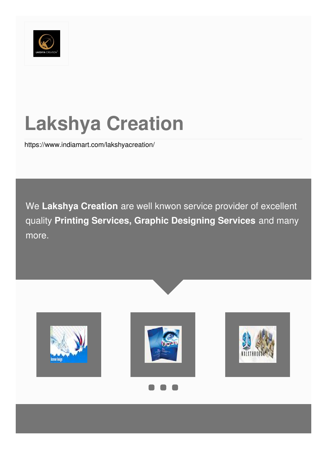

# **Lakshya Creation**

<https://www.indiamart.com/lakshyacreation/>

We **Lakshya Creation** are well knwon service provider of excellent quality **Printing Services, Graphic Designing Services** and many more.







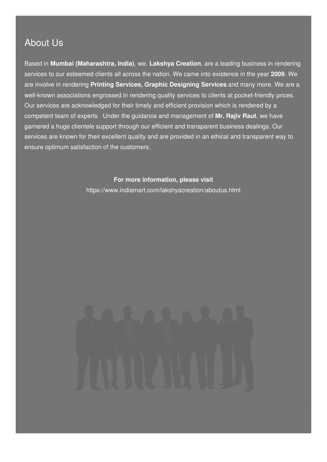### About Us

Based in **Mumbai (Maharashtra, India)**, we, **Lakshya Creation**, are a leading business in rendering services to our esteemed clients all across the nation. We came into existence in the year **2009**. We are involve in rendering **Printing Services, Graphic Designing Services** and many more. We are a well-known associations engrossed in rendering quality services to clients at pocket-friendly prices. Our services are acknowledged for their timely and efficient provision which is rendered by a competent team of experts Under the guidance and management of **Mr. Rajiv Raut**, we have garnered a huge clientele support through our efficient and transparent business dealings. Our services are known for their excellent quality and are provided in an ethical and transparent way to ensure optimum satisfaction of the customers.

**For more information, please visit**

<https://www.indiamart.com/lakshyacreation/aboutus.html>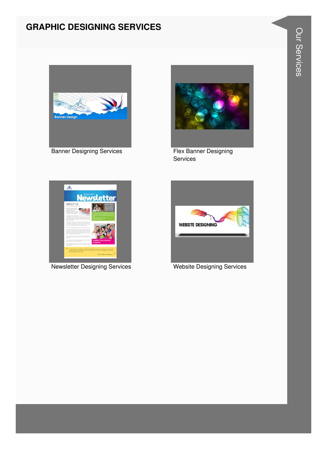#### **GRAPHIC DESIGNING SERVICES**



**Banner Designing Services** 



Flex Banner Designing Services



Newsletter Designing Services

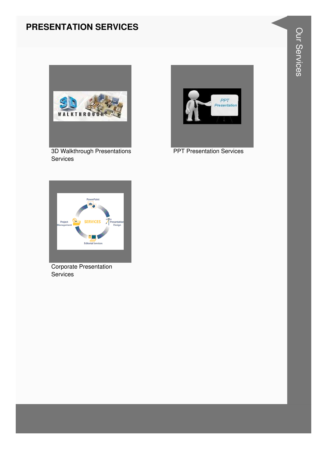#### **PRESENTATION SERVICES**



3D Walkthrough Presentations Services



**PPT Presentation Services** 



Corporate Presentation Services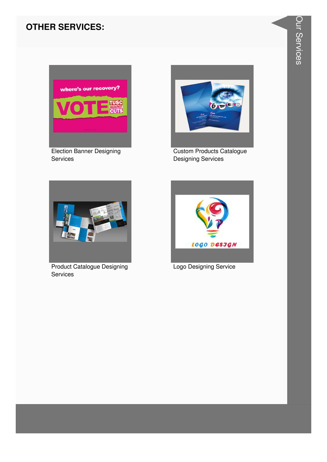#### **OTHER SERVICES:**



**Election Banner Designing** Services



**Custom Products Catalogue Designing Services** 



**Product Catalogue Designing** Services



Logo Designing Service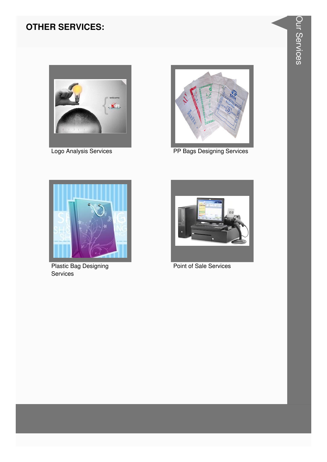#### **OTHER SERVICES:**





Logo Analysis Services **PP Bags Designing Services** 



Plastic Bag Designing Services



Point of Sale Services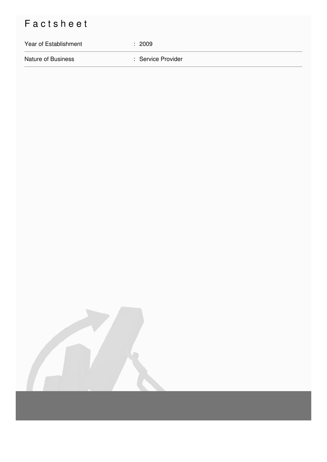## Factsheet

# Year of Establishment : 2009 Nature of Business **in American Service Provider** : Service Provider